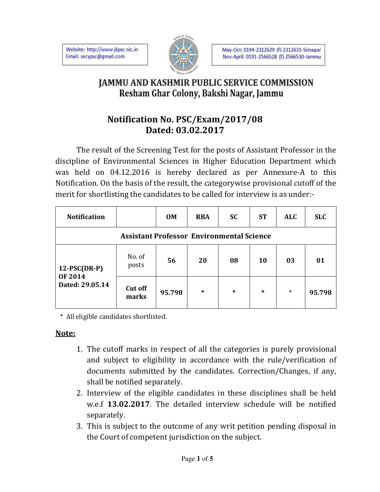Website: http://www.jkpsc.nic.in Email: secypsc@gmail.com



## **JAMMU AND KASHMIR PUBLIC SERVICE COMMISSION** Resham Ghar Colony, Bakshi Nagar, Jammu

## **Notification No. PSC/Exam/2017/08 Dated: 03.02.2017**

The result of the Screening Test for the posts of Assistant Professor in the discipline of Environmental Sciences in Higher Education Department which was held on 04.12.2016 is hereby declared as per Annexure-A to this Notification. On the basis of the result, the categorywise provisional cutoff of the merit for shortlisting the candidates to be called for interview is as under:-

| <b>Notification</b>               |                                                  | <b>OM</b> | <b>RBA</b> | <b>SC</b> | <b>ST</b> | <b>ALC</b> | <b>SLC</b> |
|-----------------------------------|--------------------------------------------------|-----------|------------|-----------|-----------|------------|------------|
|                                   | <b>Assistant Professor Environmental Science</b> |           |            |           |           |            |            |
| $12$ -PSC(DR-P)<br><b>OF 2014</b> | No. of<br>posts                                  | 56        | 20         | 08        | <b>10</b> | 03         | 01         |
| Dated: 29.05.14                   | <b>Cut off</b><br>marks                          | 95.798    | $\ast$     | *         | $\ast$    | $\ast$     | 95.798     |

\* All eligible candidates shortlisted.

## **Note:**

- 1. The cutoff marks in respect of all the categories is purely provisional and subject to eligibility in accordance with the rule/verification of documents submitted by the candidates. Correction/Changes, if any, shall be notified separately.
- 2. Interview of the eligible candidates in these disciplines shall be held w.e.f **13.02.2017**. The detailed interview schedule will be notified separately.
- 3. This is subject to the outcome of any writ petition pending disposal in the Court of competent jurisdiction on the subject.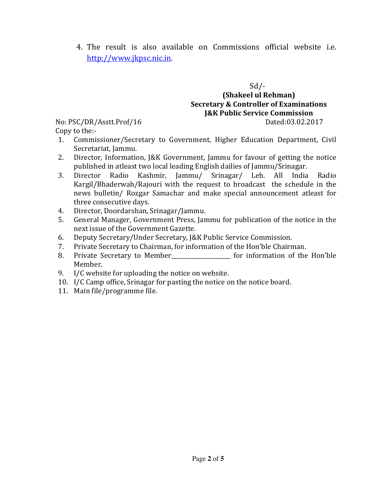4. The result is also available on Commissions official website i.e. http://www.jkpsc.nic.in.

Sd/-

## **(Shakeel ul Rehman) Secretary & Controller of Examinations J&K Public Service Commission** No: PSC/DR/Asstt.Prof/16 Dated:03.02.2017

Copy to the:-

- 1. Commissioner/Secretary to Government, Higher Education Department, Civil Secretariat, Jammu.
- 2. Director, Information, J&K Government, Jammu for favour of getting the notice published in atleast two local leading English dailies of Jammu/Srinagar.
- 3. Director Radio Kashmir, Jammu/ Srinagar/ Leh. All India Radio Kargil/Bhaderwah/Rajouri with the request to broadcast the schedule in the news bulletin/ Rozgar Samachar and make special announcement atleast for three consecutive days.
- 4. Director, Doordarshan, Srinagar/Jammu.
- 5. General Manager, Government Press, Jammu for publication of the notice in the next issue of the Government Gazette.
- 6. Deputy Secretary/Under Secretary, J&K Public Service Commission.
- 7. Private Secretary to Chairman, for information of the Hon'ble Chairman.
- 8. Private Secretary to Member\_\_\_\_\_\_\_\_\_\_\_\_\_\_\_\_\_\_\_\_\_ for information of the Hon'ble Member.
- 9. I/C website for uploading the notice on website.
- 10. I/C Camp office, Srinagar for pasting the notice on the notice board.
- 11. Main file/programme file.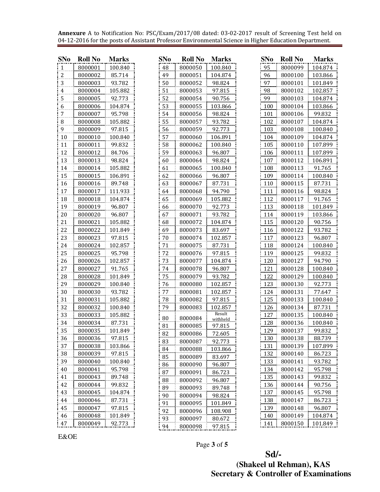**Annexure** A to Notification No: PSC/Exam/2017/08 dated: 03-02-2017 result of Screening Test held on 04-12-2016 for the posts of Assistant Professor Environmental Science in Higher Education Department.

| <b>SNo</b>     | <b>Roll No</b> | <b>Marks</b> | <b>SNo</b> | <b>Roll No</b> | <b>Marks</b>       | <b>SNo</b> | <b>Roll No</b> | <b>Marks</b> |
|----------------|----------------|--------------|------------|----------------|--------------------|------------|----------------|--------------|
| $\mathbf{1}$   | 8000001        | 100.840      | 48         | 8000050        | 100.840            | 95         | 8000099        | 104.874      |
| $\overline{a}$ | 8000002        | 85.714       | 49         | 8000051        | 104.874            | 96         | 8000100        | 103.866      |
| $\overline{3}$ | 8000003        | 93.782       | 50         | 8000052        | 98.824             | 97         | 8000101        | 101.849      |
| $\overline{4}$ | 8000004        | 105.882      | 51         | 8000053        | 97.815             | 98         | 8000102        | 102.857      |
| 5              | 8000005        | 92.773       | 52         | 8000054        | 90.756             | 99         | 8000103        | 104.874      |
| 6              | 8000006        | 104.874      | 53         | 8000055        | 103.866            | 100        | 8000104        | 103.866      |
| $\overline{7}$ | 8000007        | 95.798       | 54         | 8000056        | 98.824             | 101        | 8000106        | 99.832       |
| $\, 8$         | 8000008        | 105.882      | 55         | 8000057        | 93.782             | 102        | 8000107        | 104.874      |
| 9              | 8000009        | 97.815       | 56         | 8000059        | 92.773             | 103        | 8000108        | 100.840      |
| 10             | 8000010        | 100.840      | 57         | 8000060        | 106.891            | 104        | 8000109        | 104.874      |
| 11             | 8000011        | 99.832       | 58         | 8000062        | 100.840            | 105        | 8000110        | 107.899      |
| 12             | 8000012        | 84.706       | 59         | 8000063        | 96.807             | 106        | 8000111        | 107.899      |
| 13             | 8000013        | 98.824       | 60         | 8000064        | 98.824             | 107        | 8000112        | 106.891      |
| 14             | 8000014        | 105.882      | 61         | 8000065        | 100.840            | 108        | 8000113        | 91.765       |
| 15             | 8000015        | 106.891      | 62         | 8000066        | 96.807             | 109        | 8000114        | 100.840      |
| 16             | 8000016        | 89.748       | 63         | 8000067        | 87.731             | 110        | 8000115        | 87.731       |
| 17             | 8000017        | 111.933      | 64         | 8000068        | 94.790             | 111        | 8000116        | 98.824       |
| 18             | 8000018        | 104.874      | 65         | 8000069        | 105.882            | 112        | 8000117        | 91.765       |
| 19             | 8000019        | 96.807       | 66         | 8000070        | 92.773             | 113        | 8000118        | 101.849      |
| 20             | 8000020        | 96.807       | 67         | 8000071        | 93.782             | 114        | 8000119        | 103.866      |
| 21             | 8000021        | 105.882      | 68         | 8000072        | 104.874            | 115        | 8000120        | 90.756       |
| 22             | 8000022        | 101.849      | 69         | 8000073        | 83.697             | 116        | 8000122        | 93.782       |
| 23             | 8000023        | 97.815       | $70\,$     | 8000074        | 102.857            | 117        | 8000123        | 96.807       |
| 24             | 8000024        | 102.857      | 71         | 8000075        | 87.731             | 118        | 8000124        | 100.840      |
| 25             | 8000025        | 95.798       | 72         | 8000076        | 97.815             | 119        | 8000125        | 99.832       |
| 26             | 8000026        | 102.857      | 73         | 8000077        | 104.874            | 120        | 8000127        | 94.790       |
| 27             | 8000027        | 91.765       | 74         | 8000078        | 96.807             | 121        | 8000128        | 100.840      |
| 28             | 8000028        | 101.849      | 75         | 8000079        | 93.782             | 122        | 8000129        | 100.840      |
| 29             | 8000029        | 100.840      | 76         | 8000080        | 102.857            | 123        | 8000130        | 92.773       |
| 30             | 8000030        | 93.782       | 77         | 8000081        | 102.857            | 124        | 8000131        | 77.647       |
| 31             | 8000031        | 105.882      | 78         | 8000082        | 97.815             | 125        | 8000133        | 100.840      |
| 32             | 8000032        | 100.840      | 79         | 8000083        | 102.857            | 126        | 8000134        | 87.731       |
| 33             | 8000033        | 105.882      | 80         | 8000084        | Result             | 127        | 8000135        | 100.840      |
| 34             | 8000034        | 87.731       | 81         | 8000085        | withheld<br>97.815 | 128        | 8000136        | 100.840      |
| 35             | 8000035        | 101.849      | 82         | 8000086        | 72.605             | 129        | 8000137        | 99.832       |
| 36             | 8000036        | 97.815       | 83         | 8000087        | 92.773             | 130        | 8000138        | 88.739       |
| 37             | 8000038        | 103.866      | 84         | 8000088        | 103.866            | 131        | 8000139        | 107.899      |
| 38             | 8000039        | 97.815       | 85         | 8000089        | 83.697             | 132        | 8000140        | 86.723       |
| 39             | 8000040        | 100.840      | 86         | 8000090        | 96.807             | 133        | 8000141        | 93.782       |
| $40\,$         | 8000041        | 95.798       | 87         | 8000091        | 86.723             | 134        | 8000142        | 95.798       |
| 41             | 8000043        | 89.748       | 88         | 8000092        | 96.807             | 135        | 8000143        | 99.832       |
| 42             | 8000044        | 99.832       | 89         | 8000093        | 89.748             | 136        | 8000144        | 90.756       |
| 43             | 8000045        | 104.874      | 90         | 8000094        | 98.824             | 137        | 8000145        | 95.798       |
| 44             | 8000046        | 87.731       | 91         | 8000095        | 101.849            | 138        | 8000147        | 86.723       |
| 45             | 8000047        | 97.815       | 92         | 8000096        | 108.908            | 139        | 8000148        | 96.807       |
| 46             | 8000048        | 101.849      | 93         | 8000097        | 80.672             | 140        | 8000149        | 104.874      |
| 47             | 8000049        | 92.773       | 94         | 8000098        | 97.815             | 141        | 8000150        | 101.849      |

E&OE

Page **3** of **5** 

 **Sd/- (Shakeel ul Rehman), KAS Secretary & Controller of Examinations**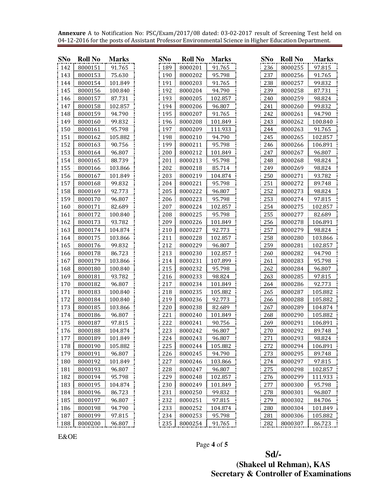**Annexure** A to Notification No: PSC/Exam/2017/08 dated: 03-02-2017 result of Screening Test held on 04-12-2016 for the posts of Assistant Professor Environmental Science in Higher Education Department.

| <b>SNo</b> | <b>Roll No</b> | <b>Marks</b> | <b>SNo</b> | <b>Roll No</b> | <b>Marks</b> | <b>SNo</b> | <b>Roll No</b> | <b>Marks</b> |
|------------|----------------|--------------|------------|----------------|--------------|------------|----------------|--------------|
| 142        | 8000151        | 91.765       | 189        | 8000201        | 91.765       | 236        | 8000255        | 97.815       |
| 143        | 8000153        | 75.630       | 190        | 8000202        | 95.798       | 237        | 8000256        | 91.765       |
| 144        | 8000154        | 101.849      | 191        | 8000203        | 91.765       | 238        | 8000257        | 99.832       |
| 145        | 8000156        | 100.840      | 192        | 8000204        | 94.790       | 239        | 8000258        | 87.731       |
| 146        | 8000157        | 87.731       | 193        | 8000205        | 102.857      | 240        | 8000259        | 98.824       |
| 147        | 8000158        | 102.857      | 194        | 8000206        | 96.807       | 241        | 8000260        | 99.832       |
| 148        | 8000159        | 94.790       | 195        | 8000207        | 91.765       | 242        | 8000261        | 94.790       |
| 149        | 8000160        | 99.832       | 196        | 8000208        | 101.849      | 243        | 8000262        | 100.840      |
| 150        | 8000161        | 95.798       | 197        | 8000209        | 111.933      | 244        | 8000263        | 91.765       |
| 151        | 8000162        | 105.882      | 198        | 8000210        | 94.790       | 245        | 8000265        | 102.857      |
| 152        | 8000163        | 90.756       | 199        | 8000211        | 95.798       | 246        | 8000266        | 106.891      |
| 153        | 8000164        | 96.807       | 200        | 8000212        | 101.849      | 247        | 8000267        | 96.807       |
| 154        | 8000165        | 88.739       | 201        | 8000213        | 95.798       | 248        | 8000268        | 98.824       |
| 155        | 8000166        | 103.866      | 202        | 8000218        | 85.714       | 249        | 8000269        | 98.824       |
| 156        | 8000167        | 101.849      | 203        | 8000219        | 104.874      | 250        | 8000271        | 93.782       |
| 157        | 8000168        | 99.832       | 204        | 8000221        | 95.798       | 251        | 8000272        | 89.748       |
| 158        | 8000169        | 92.773       | 205        | 8000222        | 96.807       | 252        | 8000273        | 98.824       |
| 159        | 8000170        | 96.807       | 206        | 8000223        | 95.798       | 253        | 8000274        | 97.815       |
| 160        | 8000171        | 82.689       | 207        | 8000224        | 102.857      | 254        | 8000275        | 102.857      |
| 161        | 8000172        | 100.840      | 208        | 8000225        | 95.798       | 255        | 8000277        | 82.689       |
| 162        | 8000173        | 93.782       | 209        | 8000226        | 101.849      | 256        | 8000278        | 106.891      |
| 163        | 8000174        | 104.874      | 210        | 8000227        | 92.773       | 257        | 8000279        | 98.824       |
| 164        | 8000175        | 103.866      | 211        | 8000228        | 102.857      | 258        | 8000280        | 103.866      |
| 165        | 8000176        | 99.832       | 212        | 8000229        | 96.807       | 259        | 8000281        | 102.857      |
| 166        | 8000178        | 86.723       | 213        | 8000230        | 102.857      | 260        | 8000282        | 94.790       |
| 167        | 8000179        | 103.866      | 214        | 8000231        | 107.899      | 261        | 8000283        | 95.798       |
| 168        | 8000180        | 100.840      | 215        | 8000232        | 95.798       | 262        | 8000284        | 96.807       |
| 169        | 8000181        | 93.782       | 216        | 8000233        | 98.824       | 263        | 8000285        | 97.815       |
| 170        | 8000182        | 96.807       | 217        | 8000234        | 101.849      | 264        | 8000286        | 92.773       |
| 171        | 8000183        | 100.840      | 218        | 8000235        | 105.882      | 265        | 8000287        | 105.882      |
| 172        | 8000184        | 100.840      | 219        | 8000236        | 92.773       | 266        | 8000288        | 105.882      |
| 173        | 8000185        | 103.866      | 220        | 8000238        | 82.689       | 267        | 8000289        | 104.874      |
| 174        | 8000186        | 96.807       | 221        | 8000240        | 101.849      | 268        | 8000290        | 105.882      |
| 175        | 8000187        | 97.815       | 222        | 8000241        | 90.756       | 269        | 8000291        | 106.891      |
| 176        | 8000188        | 104.874      | 223        | 8000242        | 96.807       | 270        | 8000292        | 89.748       |
| 177        | 8000189        | 101.849      | 224        | 8000243        | 96.807       | 271        | 8000293        | 98.824       |
| 178        | 8000190        | 105.882      | 225        | 8000244        | 105.882      | 272        | 8000294        | 106.891      |
| 179        | 8000191        | 96.807       | 226        | 8000245        | 94.790       | 273        | 8000295        | 89.748       |
| 180        | 8000192        | 101.849      | 227        | 8000246        | 103.866      | 274        | 8000297        | 97.815       |
| 181        | 8000193        | 96.807       | 228        | 8000247        | 96.807       | 275        | 8000298        | 102.857      |
| 182        | 8000194        | 95.798       | 229        | 8000248        | 102.857      | 276        | 8000299        | 111.933      |
| 183        | 8000195        | 104.874      | 230        | 8000249        | 101.849      | 277        | 8000300        | 95.798       |
| 184        | 8000196        | 86.723       | 231        | 8000250        | 99.832       | 278        | 8000301        | 96.807       |
| 185        | 8000197        | 96.807       | 232        | 8000251        | 97.815       | 279        | 8000302        | 84.706       |
| 186        | 8000198        | 94.790       | 233        | 8000252        | 104.874      | 280        | 8000304        | 101.849      |
| 187        | 8000199        | 97.815       | 234        | 8000253        | 95.798       | 281        | 8000306        | 105.882      |
| 188        | 8000200        | 96.807       | 235        | 8000254        | 91.765       | 282        | 8000307        | 86.723       |

E&OE

Page **4** of **5** 

 **Sd/- (Shakeel ul Rehman), KAS Secretary & Controller of Examinations**